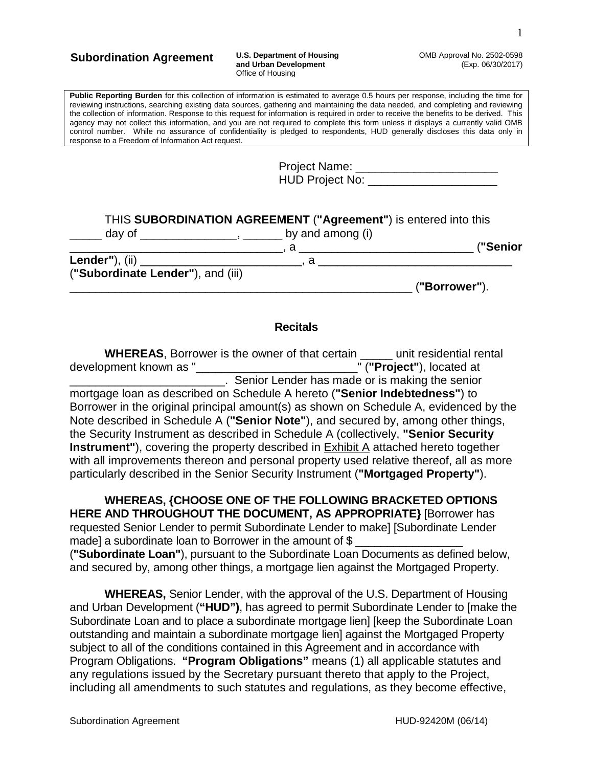#### **Subordination Agreement U.S. Department of Housing**

### **and Urban Development** Office of Housing

OMB Approval No. 2502-0598 (Exp. 06/30/2017)

**Public Reporting Burden** for this collection of information is estimated to average 0.5 hours per response, including the time for reviewing instructions, searching existing data sources, gathering and maintaining the data needed, and completing and reviewing the collection of information. Response to this request for information is required in order to receive the benefits to be derived. This agency may not collect this information, and you are not required to complete this form unless it displays a currently valid OMB control number. While no assurance of confidentiality is pledged to respondents, HUD generally discloses this data only in response to a Freedom of Information Act request.

| <b>Project Name:</b>   |  |
|------------------------|--|
| <b>HUD Project No:</b> |  |

|                                   | THIS SUBORDINATION AGREEMENT ("Agreement") is entered into this                                                                                                                                                                                                                                                                                                                                              |               |
|-----------------------------------|--------------------------------------------------------------------------------------------------------------------------------------------------------------------------------------------------------------------------------------------------------------------------------------------------------------------------------------------------------------------------------------------------------------|---------------|
|                                   | day of $\frac{1}{\sqrt{1-\frac{1}{2}}\sqrt{1-\frac{1}{2}}\sqrt{1-\frac{1}{2}}\sqrt{1-\frac{1}{2}}\sqrt{1-\frac{1}{2}}\sqrt{1-\frac{1}{2}}\sqrt{1-\frac{1}{2}}\sqrt{1-\frac{1}{2}}\sqrt{1-\frac{1}{2}}\sqrt{1-\frac{1}{2}}\sqrt{1-\frac{1}{2}}\sqrt{1-\frac{1}{2}}\sqrt{1-\frac{1}{2}}\sqrt{1-\frac{1}{2}}\sqrt{1-\frac{1}{2}}\sqrt{1-\frac{1}{2}}\sqrt{1-\frac{1}{2}}\sqrt{1-\frac{1}{2}}\sqrt{1-\frac{1}{2$ |               |
|                                   |                                                                                                                                                                                                                                                                                                                                                                                                              | ("Senior      |
|                                   |                                                                                                                                                                                                                                                                                                                                                                                                              |               |
| ("Subordinate Lender"), and (iii) |                                                                                                                                                                                                                                                                                                                                                                                                              |               |
|                                   |                                                                                                                                                                                                                                                                                                                                                                                                              | ("Borrower"). |

#### **Recitals**

| <b>WHEREAS, Borrower is the owner of that certain _____ unit residential rental</b>                |  |
|----------------------------------------------------------------------------------------------------|--|
| development known as "<br>" ("Project"), located at                                                |  |
| Senior Lender has made or is making the senior                                                     |  |
| mortgage Ioan as described on Schedule A hereto ("Senior Indebtedness") to                         |  |
| Borrower in the original principal amount(s) as shown on Schedule A, evidenced by the              |  |
| Note described in Schedule A ("Senior Note"), and secured by, among other things,                  |  |
| the Security Instrument as described in Schedule A (collectively, "Senior Security                 |  |
| <b>Instrument"</b> ), covering the property described in <b>Exhibit A</b> attached hereto together |  |
| with all improvements thereon and personal property used relative thereof, all as more             |  |
| particularly described in the Senior Security Instrument ("Mortgaged Property").                   |  |

**WHEREAS, {CHOOSE ONE OF THE FOLLOWING BRACKETED OPTIONS HERE AND THROUGHOUT THE DOCUMENT, AS APPROPRIATE}** [Borrower has requested Senior Lender to permit Subordinate Lender to make] [Subordinate Lender made] a subordinate loan to Borrower in the amount of \$ (**"Subordinate Loan"**), pursuant to the Subordinate Loan Documents as defined below, and secured by, among other things, a mortgage lien against the Mortgaged Property.

**WHEREAS,** Senior Lender, with the approval of the U.S. Department of Housing and Urban Development (**"HUD")**, has agreed to permit Subordinate Lender to [make the Subordinate Loan and to place a subordinate mortgage lien] [keep the Subordinate Loan outstanding and maintain a subordinate mortgage lien] against the Mortgaged Property subject to all of the conditions contained in this Agreement and in accordance with Program Obligations. **"Program Obligations"** means (1) all applicable statutes and any regulations issued by the Secretary pursuant thereto that apply to the Project, including all amendments to such statutes and regulations, as they become effective,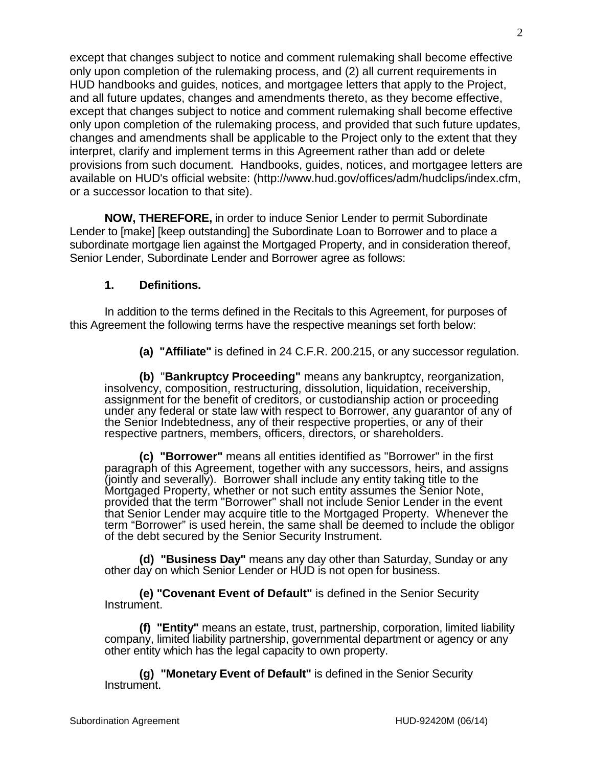except that changes subject to notice and comment rulemaking shall become effective only upon completion of the rulemaking process, and (2) all current requirements in HUD handbooks and guides, notices, and mortgagee letters that apply to the Project, and all future updates, changes and amendments thereto, as they become effective, except that changes subject to notice and comment rulemaking shall become effective only upon completion of the rulemaking process, and provided that such future updates, changes and amendments shall be applicable to the Project only to the extent that they interpret, clarify and implement terms in this Agreement rather than add or delete provisions from such document. Handbooks, guides, notices, and mortgagee letters are available on HUD's official website: (http://www.hud.gov/offices/adm/hudclips/index.cfm, or a successor location to that site).

**NOW, THEREFORE,** in order to induce Senior Lender to permit Subordinate Lender to [make] [keep outstanding] the Subordinate Loan to Borrower and to place a subordinate mortgage lien against the Mortgaged Property, and in consideration thereof, Senior Lender, Subordinate Lender and Borrower agree as follows:

### **1. Definitions.**

In addition to the terms defined in the Recitals to this Agreement, for purposes of this Agreement the following terms have the respective meanings set forth below:

**(a) "Affiliate"** is defined in 24 C.F.R. 200.215, or any successor regulation.

**(b)** "**Bankruptcy Proceeding"** means any bankruptcy, reorganization, insolvency, composition, restructuring, dissolution, liquidation, receivership, assignment for the benefit of creditors, or custodianship action or proceeding under any federal or state law with respect to Borrower, any guarantor of any of the Senior Indebtedness, any of their respective properties, or any of their respective partners, members, officers, directors, or shareholders.

**(c) "Borrower"** means all entities identified as "Borrower" in the first paragraph of this Agreement, together with any successors, heirs, and assigns (jointly and severally). Borrower shall include any entity taking title to the Mortgaged Property, whether or not such entity assumes the Senior Note, provided that the term "Borrower" shall not include Senior Lender in the event that Senior Lender may acquire title to the Mortgaged Property. Whenever the term "Borrower" is used herein, the same shall be deemed to include the obligor of the debt secured by the Senior Security Instrument.

**(d) "Business Day"** means any day other than Saturday, Sunday or any other day on which Senior Lender or HUD is not open for business.

**(e) "Covenant Event of Default"** is defined in the Senior Security Instrument.

**(f) "Entity"** means an estate, trust, partnership, corporation, limited liability company, limited liability partnership, governmental department or agency or any other entity which has the legal capacity to own property.

**(g) "Monetary Event of Default"** is defined in the Senior Security Instrument.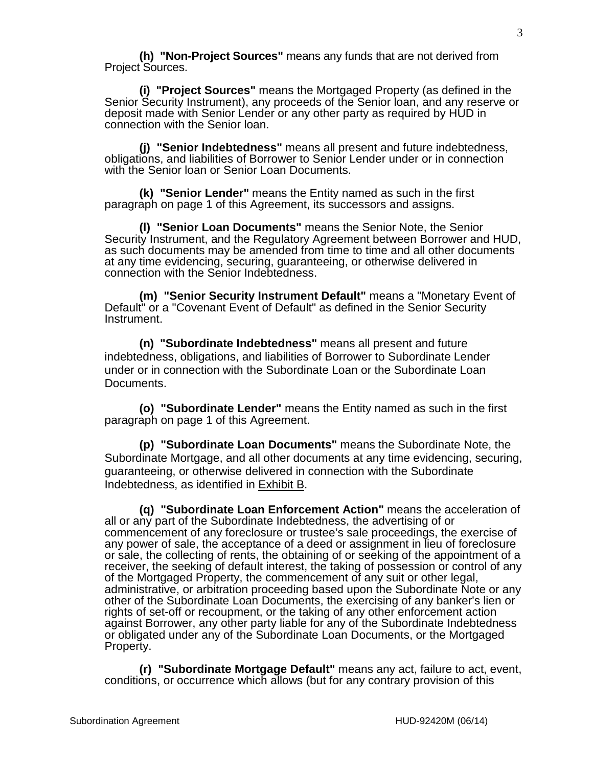**(h) "Non-Project Sources"** means any funds that are not derived from Project Sources.

**(i) "Project Sources"** means the Mortgaged Property (as defined in the Senior Security Instrument), any proceeds of the Senior loan, and any reserve or deposit made with Senior Lender or any other party as required by HUD in connection with the Senior loan.

**(j) "Senior Indebtedness"** means all present and future indebtedness, obligations, and liabilities of Borrower to Senior Lender under or in connection with the Senior loan or Senior Loan Documents.

**(k) "Senior Lender"** means the Entity named as such in the first paragraph on page 1 of this Agreement, its successors and assigns.

**(l) "Senior Loan Documents"** means the Senior Note, the Senior Security Instrument, and the Regulatory Agreement between Borrower and HUD, as such documents may be amended from time to time and all other documents at any time evidencing, securing, guaranteeing, or otherwise delivered in connection with the Senior Indebtedness.

**(m) "Senior Security Instrument Default"** means a "Monetary Event of Default" or a "Covenant Event of Default" as defined in the Senior Security Instrument.

**(n) "Subordinate Indebtedness"** means all present and future indebtedness, obligations, and liabilities of Borrower to Subordinate Lender under or in connection with the Subordinate Loan or the Subordinate Loan Documents.

**(o) "Subordinate Lender"** means the Entity named as such in the first paragraph on page 1 of this Agreement.

**(p) "Subordinate Loan Documents"** means the Subordinate Note, the Subordinate Mortgage, and all other documents at any time evidencing, securing, guaranteeing, or otherwise delivered in connection with the Subordinate Indebtedness, as identified in Exhibit B.

**(q) "Subordinate Loan Enforcement Action"** means the acceleration of all or any part of the Subordinate Indebtedness, the advertising of or commencement of any foreclosure or trustee's sale proceedings, the exercise of any power of sale, the acceptance of a deed or assignment in lieu of foreclosure or sale, the collecting of rents, the obtaining of or seeking of the appointment of a receiver, the seeking of default interest, the taking of possession or control of any of the Mortgaged Property, the commencement of any suit or other legal, administrative, or arbitration proceeding based upon the Subordinate Note or any other of the Subordinate Loan Documents, the exercising of any banker's lien or rights of set-off or recoupment, or the taking of any other enforcement action against Borrower, any other party liable for any of the Subordinate Indebtedness or obligated under any of the Subordinate Loan Documents, or the Mortgaged Property.

**(r) "Subordinate Mortgage Default"** means any act, failure to act, event, conditions, or occurrence which allows (but for any contrary provision of this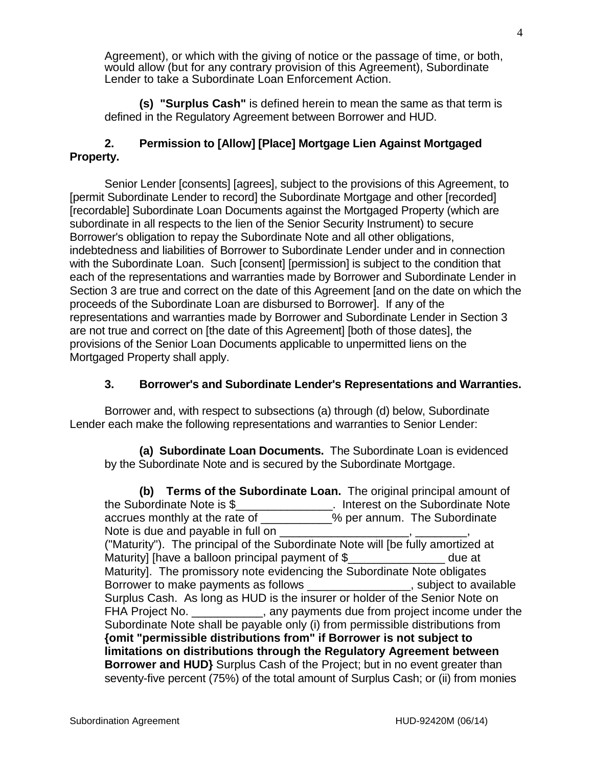Agreement), or which with the giving of notice or the passage of time, or both, would allow (but for any contrary provision of this Agreement), Subordinate Lender to take a Subordinate Loan Enforcement Action.

**(s) "Surplus Cash"** is defined herein to mean the same as that term is defined in the Regulatory Agreement between Borrower and HUD.

# **2. Permission to [Allow] [Place] Mortgage Lien Against Mortgaged Property.**

Senior Lender [consents] [agrees], subject to the provisions of this Agreement, to [permit Subordinate Lender to record] the Subordinate Mortgage and other [recorded] [recordable] Subordinate Loan Documents against the Mortgaged Property (which are subordinate in all respects to the lien of the Senior Security Instrument) to secure Borrower's obligation to repay the Subordinate Note and all other obligations, indebtedness and liabilities of Borrower to Subordinate Lender under and in connection with the Subordinate Loan. Such [consent] [permission] is subject to the condition that each of the representations and warranties made by Borrower and Subordinate Lender in Section 3 are true and correct on the date of this Agreement [and on the date on which the proceeds of the Subordinate Loan are disbursed to Borrower]. If any of the representations and warranties made by Borrower and Subordinate Lender in Section 3 are not true and correct on [the date of this Agreement] [both of those dates], the provisions of the Senior Loan Documents applicable to unpermitted liens on the Mortgaged Property shall apply.

## **3. Borrower's and Subordinate Lender's Representations and Warranties.**

Borrower and, with respect to subsections (a) through (d) below, Subordinate Lender each make the following representations and warranties to Senior Lender:

**(a) Subordinate Loan Documents.** The Subordinate Loan is evidenced by the Subordinate Note and is secured by the Subordinate Mortgage.

**(b) Terms of the Subordinate Loan.** The original principal amount of the Subordinate Note is \$\_\_\_\_\_\_\_\_\_\_\_\_\_\_\_. Interest on the Subordinate Note accrues monthly at the rate of  $\overline{\phantom{a}}$  % per annum. The Subordinate Note is due and payable in full on ("Maturity"). The principal of the Subordinate Note will [be fully amortized at Maturity] [have a balloon principal payment of \$\_\_\_\_\_\_\_\_\_\_\_\_\_\_\_ due at Maturity]. The promissory note evidencing the Subordinate Note obligates Borrower to make payments as follows \_\_\_\_\_\_\_\_\_\_\_\_\_\_\_\_, subject to available Surplus Cash. As long as HUD is the insurer or holder of the Senior Note on FHA Project No. \_\_\_\_\_\_\_\_\_\_, any payments due from project income under the Subordinate Note shall be payable only (i) from permissible distributions from **{omit "permissible distributions from" if Borrower is not subject to limitations on distributions through the Regulatory Agreement between Borrower and HUD}** Surplus Cash of the Project; but in no event greater than seventy-five percent (75%) of the total amount of Surplus Cash; or (ii) from monies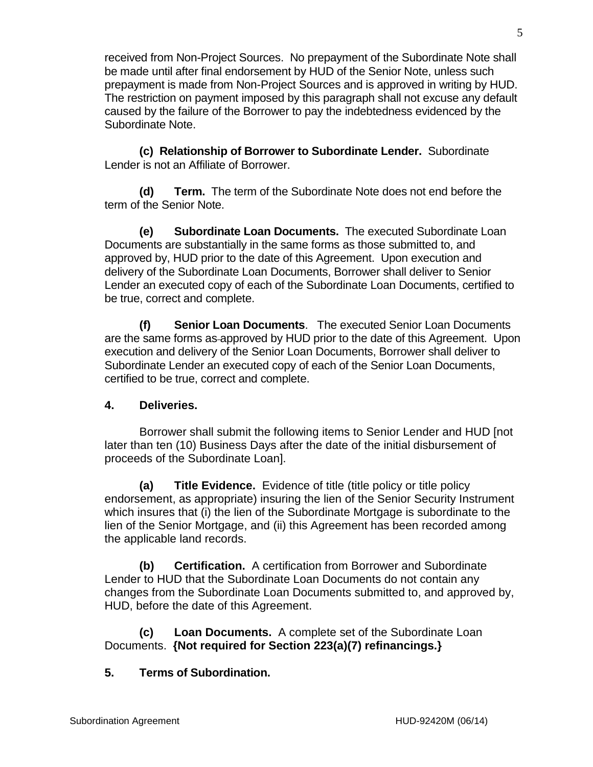received from Non-Project Sources. No prepayment of the Subordinate Note shall be made until after final endorsement by HUD of the Senior Note, unless such prepayment is made from Non-Project Sources and is approved in writing by HUD. The restriction on payment imposed by this paragraph shall not excuse any default caused by the failure of the Borrower to pay the indebtedness evidenced by the Subordinate Note.

**(c) Relationship of Borrower to Subordinate Lender.** Subordinate Lender is not an Affiliate of Borrower.

**(d) Term.** The term of the Subordinate Note does not end before the term of the Senior Note.

**(e) Subordinate Loan Documents.** The executed Subordinate Loan Documents are substantially in the same forms as those submitted to, and approved by, HUD prior to the date of this Agreement. Upon execution and delivery of the Subordinate Loan Documents, Borrower shall deliver to Senior Lender an executed copy of each of the Subordinate Loan Documents, certified to be true, correct and complete.

**(f) Senior Loan Documents**. The executed Senior Loan Documents are the same forms as approved by HUD prior to the date of this Agreement. Upon execution and delivery of the Senior Loan Documents, Borrower shall deliver to Subordinate Lender an executed copy of each of the Senior Loan Documents, certified to be true, correct and complete.

# **4. Deliveries.**

Borrower shall submit the following items to Senior Lender and HUD [not later than ten (10) Business Days after the date of the initial disbursement of proceeds of the Subordinate Loan].

**(a) Title Evidence.** Evidence of title (title policy or title policy endorsement, as appropriate) insuring the lien of the Senior Security Instrument which insures that (i) the lien of the Subordinate Mortgage is subordinate to the lien of the Senior Mortgage, and (ii) this Agreement has been recorded among the applicable land records.

**(b) Certification.** A certification from Borrower and Subordinate Lender to HUD that the Subordinate Loan Documents do not contain any changes from the Subordinate Loan Documents submitted to, and approved by, HUD, before the date of this Agreement.

**(c) Loan Documents.** A complete set of the Subordinate Loan Documents. **{Not required for Section 223(a)(7) refinancings.}**

# **5. Terms of Subordination.**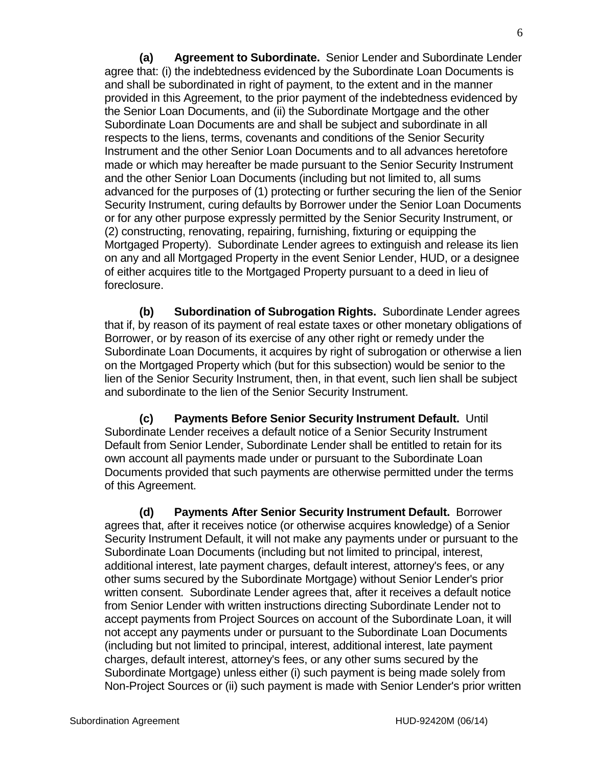**(a) Agreement to Subordinate.** Senior Lender and Subordinate Lender agree that: (i) the indebtedness evidenced by the Subordinate Loan Documents is and shall be subordinated in right of payment, to the extent and in the manner provided in this Agreement, to the prior payment of the indebtedness evidenced by the Senior Loan Documents, and (ii) the Subordinate Mortgage and the other Subordinate Loan Documents are and shall be subject and subordinate in all respects to the liens, terms, covenants and conditions of the Senior Security Instrument and the other Senior Loan Documents and to all advances heretofore made or which may hereafter be made pursuant to the Senior Security Instrument and the other Senior Loan Documents (including but not limited to, all sums advanced for the purposes of (1) protecting or further securing the lien of the Senior Security Instrument, curing defaults by Borrower under the Senior Loan Documents or for any other purpose expressly permitted by the Senior Security Instrument, or (2) constructing, renovating, repairing, furnishing, fixturing or equipping the Mortgaged Property). Subordinate Lender agrees to extinguish and release its lien on any and all Mortgaged Property in the event Senior Lender, HUD, or a designee of either acquires title to the Mortgaged Property pursuant to a deed in lieu of foreclosure.

**(b) Subordination of Subrogation Rights.** Subordinate Lender agrees that if, by reason of its payment of real estate taxes or other monetary obligations of Borrower, or by reason of its exercise of any other right or remedy under the Subordinate Loan Documents, it acquires by right of subrogation or otherwise a lien on the Mortgaged Property which (but for this subsection) would be senior to the lien of the Senior Security Instrument, then, in that event, such lien shall be subject and subordinate to the lien of the Senior Security Instrument.

**(c) Payments Before Senior Security Instrument Default.** Until Subordinate Lender receives a default notice of a Senior Security Instrument Default from Senior Lender, Subordinate Lender shall be entitled to retain for its own account all payments made under or pursuant to the Subordinate Loan Documents provided that such payments are otherwise permitted under the terms of this Agreement.

**(d) Payments After Senior Security Instrument Default.** Borrower agrees that, after it receives notice (or otherwise acquires knowledge) of a Senior Security Instrument Default, it will not make any payments under or pursuant to the Subordinate Loan Documents (including but not limited to principal, interest, additional interest, late payment charges, default interest, attorney's fees, or any other sums secured by the Subordinate Mortgage) without Senior Lender's prior written consent. Subordinate Lender agrees that, after it receives a default notice from Senior Lender with written instructions directing Subordinate Lender not to accept payments from Project Sources on account of the Subordinate Loan, it will not accept any payments under or pursuant to the Subordinate Loan Documents (including but not limited to principal, interest, additional interest, late payment charges, default interest, attorney's fees, or any other sums secured by the Subordinate Mortgage) unless either (i) such payment is being made solely from Non-Project Sources or (ii) such payment is made with Senior Lender's prior written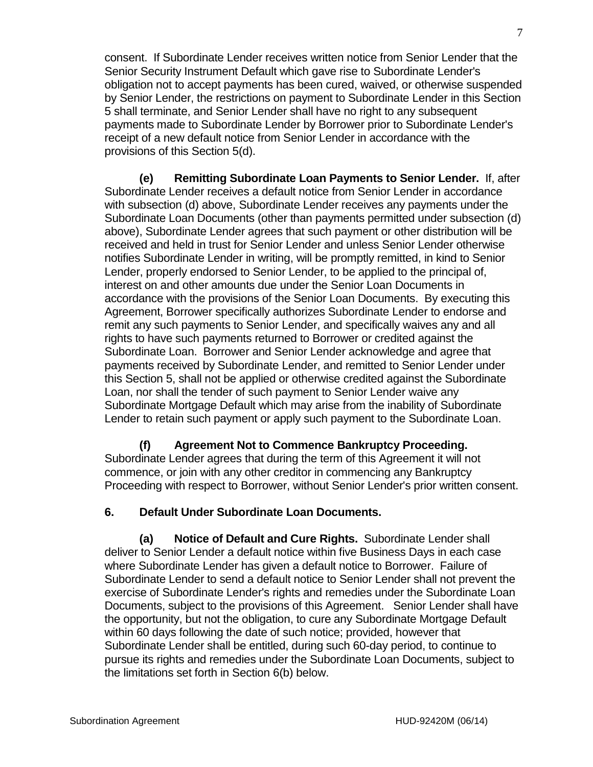consent. If Subordinate Lender receives written notice from Senior Lender that the Senior Security Instrument Default which gave rise to Subordinate Lender's obligation not to accept payments has been cured, waived, or otherwise suspended by Senior Lender, the restrictions on payment to Subordinate Lender in this Section 5 shall terminate, and Senior Lender shall have no right to any subsequent payments made to Subordinate Lender by Borrower prior to Subordinate Lender's receipt of a new default notice from Senior Lender in accordance with the provisions of this Section 5(d).

**(e) Remitting Subordinate Loan Payments to Senior Lender.** If, after Subordinate Lender receives a default notice from Senior Lender in accordance with subsection (d) above, Subordinate Lender receives any payments under the Subordinate Loan Documents (other than payments permitted under subsection (d) above), Subordinate Lender agrees that such payment or other distribution will be received and held in trust for Senior Lender and unless Senior Lender otherwise notifies Subordinate Lender in writing, will be promptly remitted, in kind to Senior Lender, properly endorsed to Senior Lender, to be applied to the principal of, interest on and other amounts due under the Senior Loan Documents in accordance with the provisions of the Senior Loan Documents. By executing this Agreement, Borrower specifically authorizes Subordinate Lender to endorse and remit any such payments to Senior Lender, and specifically waives any and all rights to have such payments returned to Borrower or credited against the Subordinate Loan. Borrower and Senior Lender acknowledge and agree that payments received by Subordinate Lender, and remitted to Senior Lender under this Section 5, shall not be applied or otherwise credited against the Subordinate Loan, nor shall the tender of such payment to Senior Lender waive any Subordinate Mortgage Default which may arise from the inability of Subordinate Lender to retain such payment or apply such payment to the Subordinate Loan.

**(f) Agreement Not to Commence Bankruptcy Proceeding.** Subordinate Lender agrees that during the term of this Agreement it will not commence, or join with any other creditor in commencing any Bankruptcy Proceeding with respect to Borrower, without Senior Lender's prior written consent.

# **6. Default Under Subordinate Loan Documents.**

**(a) Notice of Default and Cure Rights.** Subordinate Lender shall deliver to Senior Lender a default notice within five Business Days in each case where Subordinate Lender has given a default notice to Borrower. Failure of Subordinate Lender to send a default notice to Senior Lender shall not prevent the exercise of Subordinate Lender's rights and remedies under the Subordinate Loan Documents, subject to the provisions of this Agreement. Senior Lender shall have the opportunity, but not the obligation, to cure any Subordinate Mortgage Default within 60 days following the date of such notice; provided, however that Subordinate Lender shall be entitled, during such 60-day period, to continue to pursue its rights and remedies under the Subordinate Loan Documents, subject to the limitations set forth in Section 6(b) below.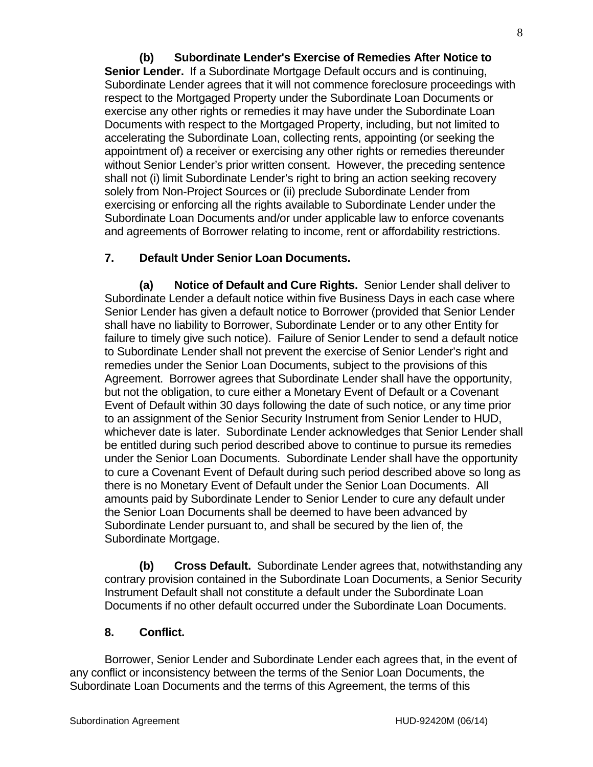**(b) Subordinate Lender's Exercise of Remedies After Notice to Senior Lender.** If a Subordinate Mortgage Default occurs and is continuing, Subordinate Lender agrees that it will not commence foreclosure proceedings with respect to the Mortgaged Property under the Subordinate Loan Documents or exercise any other rights or remedies it may have under the Subordinate Loan Documents with respect to the Mortgaged Property, including, but not limited to accelerating the Subordinate Loan, collecting rents, appointing (or seeking the appointment of) a receiver or exercising any other rights or remedies thereunder without Senior Lender's prior written consent. However, the preceding sentence shall not (i) limit Subordinate Lender's right to bring an action seeking recovery solely from Non-Project Sources or (ii) preclude Subordinate Lender from exercising or enforcing all the rights available to Subordinate Lender under the Subordinate Loan Documents and/or under applicable law to enforce covenants and agreements of Borrower relating to income, rent or affordability restrictions.

### **7. Default Under Senior Loan Documents.**

**(a) Notice of Default and Cure Rights.** Senior Lender shall deliver to Subordinate Lender a default notice within five Business Days in each case where Senior Lender has given a default notice to Borrower (provided that Senior Lender shall have no liability to Borrower, Subordinate Lender or to any other Entity for failure to timely give such notice). Failure of Senior Lender to send a default notice to Subordinate Lender shall not prevent the exercise of Senior Lender's right and remedies under the Senior Loan Documents, subject to the provisions of this Agreement. Borrower agrees that Subordinate Lender shall have the opportunity, but not the obligation, to cure either a Monetary Event of Default or a Covenant Event of Default within 30 days following the date of such notice, or any time prior to an assignment of the Senior Security Instrument from Senior Lender to HUD, whichever date is later. Subordinate Lender acknowledges that Senior Lender shall be entitled during such period described above to continue to pursue its remedies under the Senior Loan Documents. Subordinate Lender shall have the opportunity to cure a Covenant Event of Default during such period described above so long as there is no Monetary Event of Default under the Senior Loan Documents. All amounts paid by Subordinate Lender to Senior Lender to cure any default under the Senior Loan Documents shall be deemed to have been advanced by Subordinate Lender pursuant to, and shall be secured by the lien of, the Subordinate Mortgage.

**(b) Cross Default.** Subordinate Lender agrees that, notwithstanding any contrary provision contained in the Subordinate Loan Documents, a Senior Security Instrument Default shall not constitute a default under the Subordinate Loan Documents if no other default occurred under the Subordinate Loan Documents.

### **8. Conflict.**

Borrower, Senior Lender and Subordinate Lender each agrees that, in the event of any conflict or inconsistency between the terms of the Senior Loan Documents, the Subordinate Loan Documents and the terms of this Agreement, the terms of this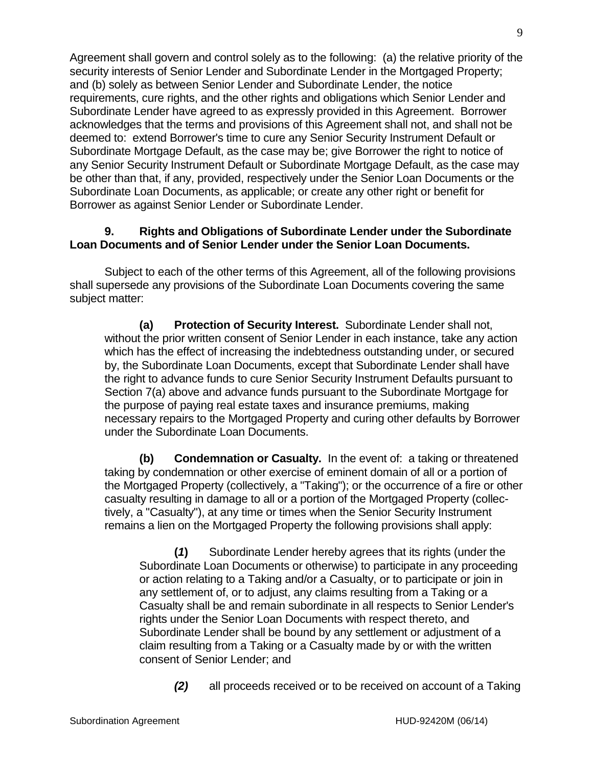Agreement shall govern and control solely as to the following: (a) the relative priority of the security interests of Senior Lender and Subordinate Lender in the Mortgaged Property; and (b) solely as between Senior Lender and Subordinate Lender, the notice requirements, cure rights, and the other rights and obligations which Senior Lender and Subordinate Lender have agreed to as expressly provided in this Agreement. Borrower acknowledges that the terms and provisions of this Agreement shall not, and shall not be deemed to: extend Borrower's time to cure any Senior Security Instrument Default or Subordinate Mortgage Default, as the case may be; give Borrower the right to notice of any Senior Security Instrument Default or Subordinate Mortgage Default, as the case may be other than that, if any, provided, respectively under the Senior Loan Documents or the Subordinate Loan Documents, as applicable; or create any other right or benefit for Borrower as against Senior Lender or Subordinate Lender.

### **9. Rights and Obligations of Subordinate Lender under the Subordinate Loan Documents and of Senior Lender under the Senior Loan Documents.**

Subject to each of the other terms of this Agreement, all of the following provisions shall supersede any provisions of the Subordinate Loan Documents covering the same subject matter:

**(a) Protection of Security Interest.** Subordinate Lender shall not, without the prior written consent of Senior Lender in each instance, take any action which has the effect of increasing the indebtedness outstanding under, or secured by, the Subordinate Loan Documents, except that Subordinate Lender shall have the right to advance funds to cure Senior Security Instrument Defaults pursuant to Section 7(a) above and advance funds pursuant to the Subordinate Mortgage for the purpose of paying real estate taxes and insurance premiums, making necessary repairs to the Mortgaged Property and curing other defaults by Borrower under the Subordinate Loan Documents.

**(b) Condemnation or Casualty.** In the event of: a taking or threatened taking by condemnation or other exercise of eminent domain of all or a portion of the Mortgaged Property (collectively, a "Taking"); or the occurrence of a fire or other casualty resulting in damage to all or a portion of the Mortgaged Property (collectively, a "Casualty"), at any time or times when the Senior Security Instrument remains a lien on the Mortgaged Property the following provisions shall apply:

**(***1***)** Subordinate Lender hereby agrees that its rights (under the Subordinate Loan Documents or otherwise) to participate in any proceeding or action relating to a Taking and/or a Casualty, or to participate or join in any settlement of, or to adjust, any claims resulting from a Taking or a Casualty shall be and remain subordinate in all respects to Senior Lender's rights under the Senior Loan Documents with respect thereto, and Subordinate Lender shall be bound by any settlement or adjustment of a claim resulting from a Taking or a Casualty made by or with the written consent of Senior Lender; and

*(2)* all proceeds received or to be received on account of a Taking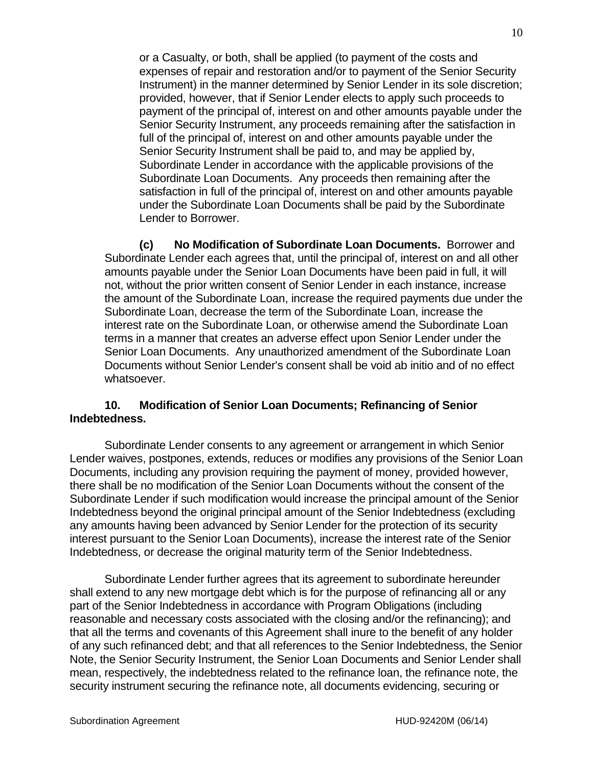or a Casualty, or both, shall be applied (to payment of the costs and expenses of repair and restoration and/or to payment of the Senior Security Instrument) in the manner determined by Senior Lender in its sole discretion; provided, however, that if Senior Lender elects to apply such proceeds to payment of the principal of, interest on and other amounts payable under the Senior Security Instrument, any proceeds remaining after the satisfaction in full of the principal of, interest on and other amounts payable under the Senior Security Instrument shall be paid to, and may be applied by, Subordinate Lender in accordance with the applicable provisions of the Subordinate Loan Documents. Any proceeds then remaining after the satisfaction in full of the principal of, interest on and other amounts payable under the Subordinate Loan Documents shall be paid by the Subordinate Lender to Borrower.

**(c) No Modification of Subordinate Loan Documents.** Borrower and Subordinate Lender each agrees that, until the principal of, interest on and all other amounts payable under the Senior Loan Documents have been paid in full, it will not, without the prior written consent of Senior Lender in each instance, increase the amount of the Subordinate Loan, increase the required payments due under the Subordinate Loan, decrease the term of the Subordinate Loan, increase the interest rate on the Subordinate Loan, or otherwise amend the Subordinate Loan terms in a manner that creates an adverse effect upon Senior Lender under the Senior Loan Documents. Any unauthorized amendment of the Subordinate Loan Documents without Senior Lender's consent shall be void ab initio and of no effect whatsoever.

### **10. Modification of Senior Loan Documents; Refinancing of Senior Indebtedness.**

Subordinate Lender consents to any agreement or arrangement in which Senior Lender waives, postpones, extends, reduces or modifies any provisions of the Senior Loan Documents, including any provision requiring the payment of money, provided however, there shall be no modification of the Senior Loan Documents without the consent of the Subordinate Lender if such modification would increase the principal amount of the Senior Indebtedness beyond the original principal amount of the Senior Indebtedness (excluding any amounts having been advanced by Senior Lender for the protection of its security interest pursuant to the Senior Loan Documents), increase the interest rate of the Senior Indebtedness, or decrease the original maturity term of the Senior Indebtedness.

Subordinate Lender further agrees that its agreement to subordinate hereunder shall extend to any new mortgage debt which is for the purpose of refinancing all or any part of the Senior Indebtedness in accordance with Program Obligations (including reasonable and necessary costs associated with the closing and/or the refinancing); and that all the terms and covenants of this Agreement shall inure to the benefit of any holder of any such refinanced debt; and that all references to the Senior Indebtedness, the Senior Note, the Senior Security Instrument, the Senior Loan Documents and Senior Lender shall mean, respectively, the indebtedness related to the refinance loan, the refinance note, the security instrument securing the refinance note, all documents evidencing, securing or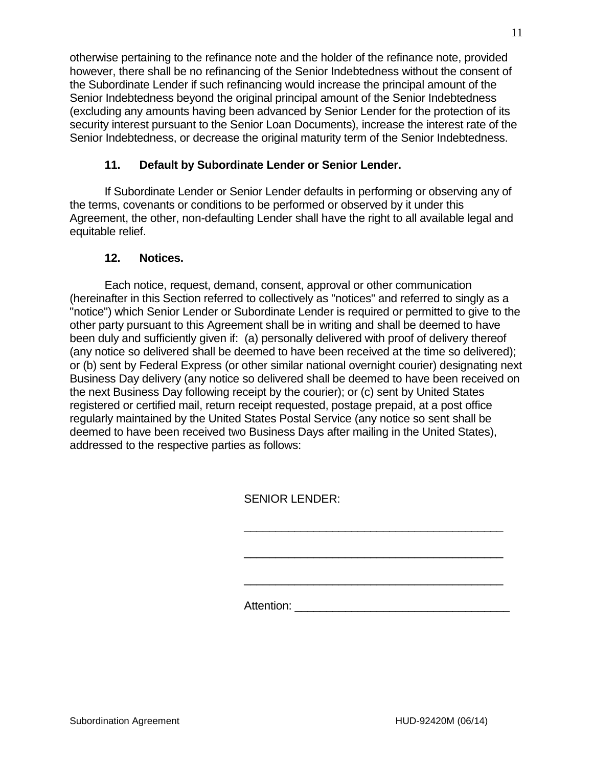otherwise pertaining to the refinance note and the holder of the refinance note, provided however, there shall be no refinancing of the Senior Indebtedness without the consent of the Subordinate Lender if such refinancing would increase the principal amount of the Senior Indebtedness beyond the original principal amount of the Senior Indebtedness (excluding any amounts having been advanced by Senior Lender for the protection of its security interest pursuant to the Senior Loan Documents), increase the interest rate of the Senior Indebtedness, or decrease the original maturity term of the Senior Indebtedness.

# **11. Default by Subordinate Lender or Senior Lender.**

If Subordinate Lender or Senior Lender defaults in performing or observing any of the terms, covenants or conditions to be performed or observed by it under this Agreement, the other, non-defaulting Lender shall have the right to all available legal and equitable relief.

# **12. Notices.**

Each notice, request, demand, consent, approval or other communication (hereinafter in this Section referred to collectively as "notices" and referred to singly as a "notice") which Senior Lender or Subordinate Lender is required or permitted to give to the other party pursuant to this Agreement shall be in writing and shall be deemed to have been duly and sufficiently given if: (a) personally delivered with proof of delivery thereof (any notice so delivered shall be deemed to have been received at the time so delivered); or (b) sent by Federal Express (or other similar national overnight courier) designating next Business Day delivery (any notice so delivered shall be deemed to have been received on the next Business Day following receipt by the courier); or (c) sent by United States registered or certified mail, return receipt requested, postage prepaid, at a post office regularly maintained by the United States Postal Service (any notice so sent shall be deemed to have been received two Business Days after mailing in the United States), addressed to the respective parties as follows:

SENIOR LENDER:

Attention: \_\_\_\_\_\_\_\_\_\_\_\_\_\_\_\_\_\_\_\_\_\_\_\_\_\_\_\_\_\_\_\_\_\_

\_\_\_\_\_\_\_\_\_\_\_\_\_\_\_\_\_\_\_\_\_\_\_\_\_\_\_\_\_\_\_\_\_\_\_\_\_\_\_\_\_

\_\_\_\_\_\_\_\_\_\_\_\_\_\_\_\_\_\_\_\_\_\_\_\_\_\_\_\_\_\_\_\_\_\_\_\_\_\_\_\_\_

\_\_\_\_\_\_\_\_\_\_\_\_\_\_\_\_\_\_\_\_\_\_\_\_\_\_\_\_\_\_\_\_\_\_\_\_\_\_\_\_\_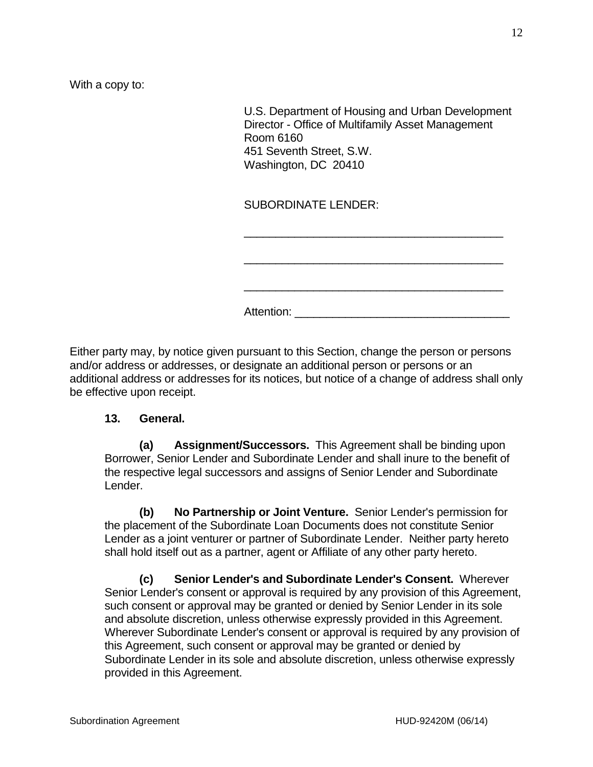With a copy to:

U.S. Department of Housing and Urban Development Director - Office of Multifamily Asset Management Room 6160 451 Seventh Street, S.W. Washington, DC 20410

\_\_\_\_\_\_\_\_\_\_\_\_\_\_\_\_\_\_\_\_\_\_\_\_\_\_\_\_\_\_\_\_\_\_\_\_\_\_\_\_\_

\_\_\_\_\_\_\_\_\_\_\_\_\_\_\_\_\_\_\_\_\_\_\_\_\_\_\_\_\_\_\_\_\_\_\_\_\_\_\_\_\_

\_\_\_\_\_\_\_\_\_\_\_\_\_\_\_\_\_\_\_\_\_\_\_\_\_\_\_\_\_\_\_\_\_\_\_\_\_\_\_\_\_

Attention: \_\_\_\_\_\_\_\_\_\_\_\_\_\_\_\_\_\_\_\_\_\_\_\_\_\_\_\_\_\_\_\_\_\_

SUBORDINATE LENDER:

Either party may, by notice given pursuant to this Section, change the person or persons and/or address or addresses, or designate an additional person or persons or an additional address or addresses for its notices, but notice of a change of address shall only be effective upon receipt.

#### **13. General.**

**(a) Assignment/Successors.** This Agreement shall be binding upon Borrower, Senior Lender and Subordinate Lender and shall inure to the benefit of the respective legal successors and assigns of Senior Lender and Subordinate Lender.

**(b) No Partnership or Joint Venture.** Senior Lender's permission for the placement of the Subordinate Loan Documents does not constitute Senior Lender as a joint venturer or partner of Subordinate Lender. Neither party hereto shall hold itself out as a partner, agent or Affiliate of any other party hereto.

**(c) Senior Lender's and Subordinate Lender's Consent.** Wherever Senior Lender's consent or approval is required by any provision of this Agreement, such consent or approval may be granted or denied by Senior Lender in its sole and absolute discretion, unless otherwise expressly provided in this Agreement. Wherever Subordinate Lender's consent or approval is required by any provision of this Agreement, such consent or approval may be granted or denied by Subordinate Lender in its sole and absolute discretion, unless otherwise expressly provided in this Agreement.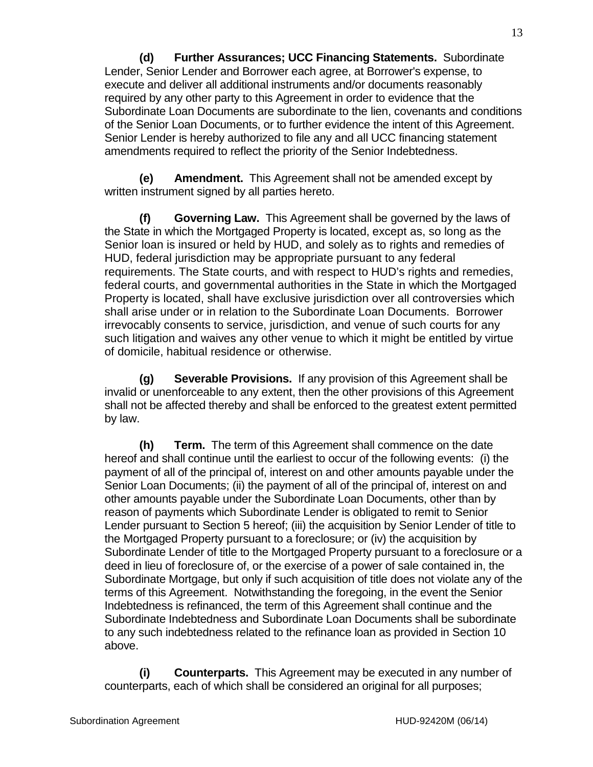**(d) Further Assurances; UCC Financing Statements.** Subordinate Lender, Senior Lender and Borrower each agree, at Borrower's expense, to execute and deliver all additional instruments and/or documents reasonably required by any other party to this Agreement in order to evidence that the Subordinate Loan Documents are subordinate to the lien, covenants and conditions of the Senior Loan Documents, or to further evidence the intent of this Agreement. Senior Lender is hereby authorized to file any and all UCC financing statement amendments required to reflect the priority of the Senior Indebtedness.

**(e) Amendment.** This Agreement shall not be amended except by written instrument signed by all parties hereto.

**(f) Governing Law.** This Agreement shall be governed by the laws of the State in which the Mortgaged Property is located, except as, so long as the Senior loan is insured or held by HUD, and solely as to rights and remedies of HUD, federal jurisdiction may be appropriate pursuant to any federal requirements. The State courts, and with respect to HUD's rights and remedies, federal courts, and governmental authorities in the State in which the Mortgaged Property is located, shall have exclusive jurisdiction over all controversies which shall arise under or in relation to the Subordinate Loan Documents. Borrower irrevocably consents to service, jurisdiction, and venue of such courts for any such litigation and waives any other venue to which it might be entitled by virtue of domicile, habitual residence or otherwise.

**(g) Severable Provisions.** If any provision of this Agreement shall be invalid or unenforceable to any extent, then the other provisions of this Agreement shall not be affected thereby and shall be enforced to the greatest extent permitted by law.

**(h) Term.** The term of this Agreement shall commence on the date hereof and shall continue until the earliest to occur of the following events: (i) the payment of all of the principal of, interest on and other amounts payable under the Senior Loan Documents; (ii) the payment of all of the principal of, interest on and other amounts payable under the Subordinate Loan Documents, other than by reason of payments which Subordinate Lender is obligated to remit to Senior Lender pursuant to Section 5 hereof; (iii) the acquisition by Senior Lender of title to the Mortgaged Property pursuant to a foreclosure; or (iv) the acquisition by Subordinate Lender of title to the Mortgaged Property pursuant to a foreclosure or a deed in lieu of foreclosure of, or the exercise of a power of sale contained in, the Subordinate Mortgage, but only if such acquisition of title does not violate any of the terms of this Agreement. Notwithstanding the foregoing, in the event the Senior Indebtedness is refinanced, the term of this Agreement shall continue and the Subordinate Indebtedness and Subordinate Loan Documents shall be subordinate to any such indebtedness related to the refinance loan as provided in Section 10 above.

**(i) Counterparts.** This Agreement may be executed in any number of counterparts, each of which shall be considered an original for all purposes;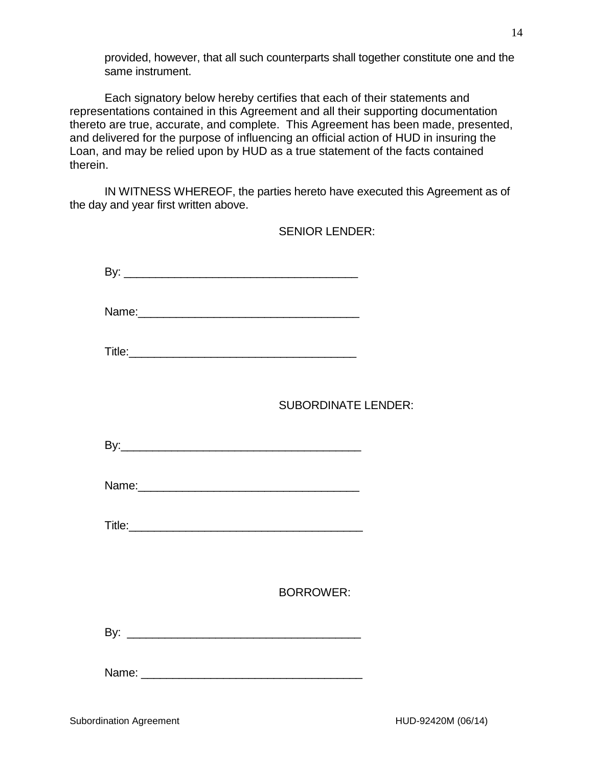provided, however, that all such counterparts shall together constitute one and the same instrument.

Each signatory below hereby certifies that each of their statements and representations contained in this Agreement and all their supporting documentation thereto are true, accurate, and complete. This Agreement has been made, presented, and delivered for the purpose of influencing an official action of HUD in insuring the Loan, and may be relied upon by HUD as a true statement of the facts contained therein.

IN WITNESS WHEREOF, the parties hereto have executed this Agreement as of the day and year first written above.

|       | <b>SENIOR LENDER:</b>      |
|-------|----------------------------|
|       |                            |
|       |                            |
|       |                            |
|       | <b>SUBORDINATE LENDER:</b> |
|       |                            |
|       |                            |
|       |                            |
|       |                            |
|       | <b>BORROWER:</b>           |
|       |                            |
| Name: |                            |